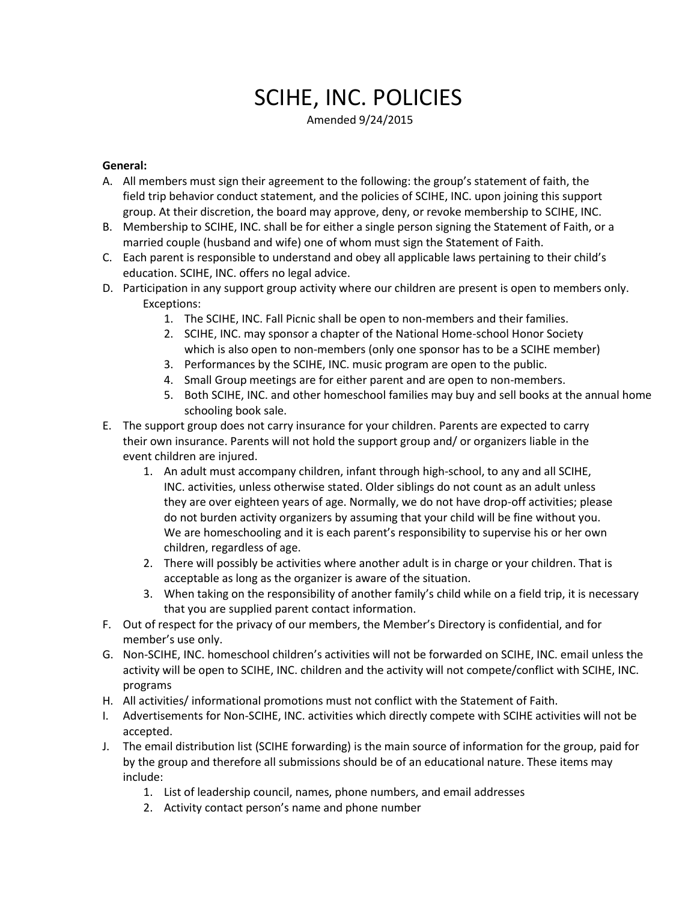# SCIHE, INC. POLICIES

Amended 9/24/2015

### **General:**

- A. All members must sign their agreement to the following: the group's statement of faith, the field trip behavior conduct statement, and the policies of SCIHE, INC. upon joining this support group. At their discretion, the board may approve, deny, or revoke membership to SCIHE, INC.
- B. Membership to SCIHE, INC. shall be for either a single person signing the Statement of Faith, or a married couple (husband and wife) one of whom must sign the Statement of Faith.
- C. Each parent is responsible to understand and obey all applicable laws pertaining to their child's education. SCIHE, INC. offers no legal advice.
- D. Participation in any support group activity where our children are present is open to members only. Exceptions:
	- 1. The SCIHE, INC. Fall Picnic shall be open to non-members and their families.
	- 2. SCIHE, INC. may sponsor a chapter of the National Home-school Honor Society which is also open to non-members (only one sponsor has to be a SCIHE member)
	- 3. Performances by the SCIHE, INC. music program are open to the public.
	- 4. Small Group meetings are for either parent and are open to non-members.
	- 5. Both SCIHE, INC. and other homeschool families may buy and sell books at the annual home schooling book sale.
- E. The support group does not carry insurance for your children. Parents are expected to carry their own insurance. Parents will not hold the support group and/ or organizers liable in the event children are injured.
	- 1. An adult must accompany children, infant through high-school, to any and all SCIHE, INC. activities, unless otherwise stated. Older siblings do not count as an adult unless they are over eighteen years of age. Normally, we do not have drop-off activities; please do not burden activity organizers by assuming that your child will be fine without you. We are homeschooling and it is each parent's responsibility to supervise his or her own children, regardless of age.
	- 2. There will possibly be activities where another adult is in charge or your children. That is acceptable as long as the organizer is aware of the situation.
	- 3. When taking on the responsibility of another family's child while on a field trip, it is necessary that you are supplied parent contact information.
- F. Out of respect for the privacy of our members, the Member's Directory is confidential, and for member's use only.
- G. Non-SCIHE, INC. homeschool children's activities will not be forwarded on SCIHE, INC. email unless the activity will be open to SCIHE, INC. children and the activity will not compete/conflict with SCIHE, INC. programs
- H. All activities/ informational promotions must not conflict with the Statement of Faith.
- I. Advertisements for Non-SCIHE, INC. activities which directly compete with SCIHE activities will not be accepted.
- J. The email distribution list (SCIHE forwarding) is the main source of information for the group, paid for by the group and therefore all submissions should be of an educational nature. These items may include:
	- 1. List of leadership council, names, phone numbers, and email addresses
	- 2. Activity contact person's name and phone number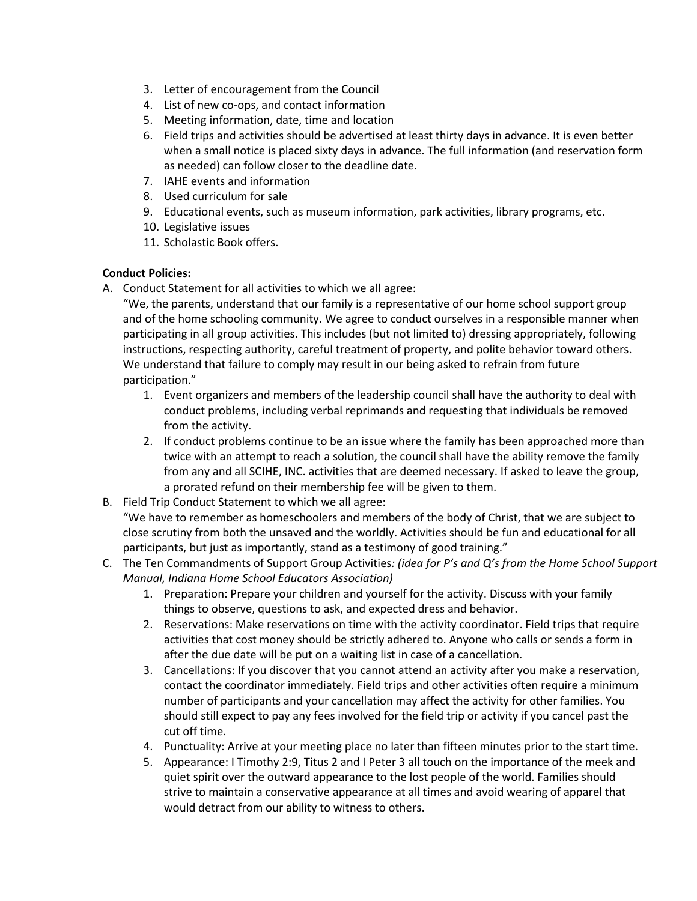- 3. Letter of encouragement from the Council
- 4. List of new co-ops, and contact information
- 5. Meeting information, date, time and location
- 6. Field trips and activities should be advertised at least thirty days in advance. It is even better when a small notice is placed sixty days in advance. The full information (and reservation form as needed) can follow closer to the deadline date.
- 7. IAHE events and information
- 8. Used curriculum for sale
- 9. Educational events, such as museum information, park activities, library programs, etc.
- 10. Legislative issues
- 11. Scholastic Book offers.

## **Conduct Policies:**

A. Conduct Statement for all activities to which we all agree:

"We, the parents, understand that our family is a representative of our home school support group and of the home schooling community. We agree to conduct ourselves in a responsible manner when participating in all group activities. This includes (but not limited to) dressing appropriately, following instructions, respecting authority, careful treatment of property, and polite behavior toward others. We understand that failure to comply may result in our being asked to refrain from future participation."

- 1. Event organizers and members of the leadership council shall have the authority to deal with conduct problems, including verbal reprimands and requesting that individuals be removed from the activity.
- 2. If conduct problems continue to be an issue where the family has been approached more than twice with an attempt to reach a solution, the council shall have the ability remove the family from any and all SCIHE, INC. activities that are deemed necessary. If asked to leave the group, a prorated refund on their membership fee will be given to them.
- B. Field Trip Conduct Statement to which we all agree:

"We have to remember as homeschoolers and members of the body of Christ, that we are subject to close scrutiny from both the unsaved and the worldly. Activities should be fun and educational for all participants, but just as importantly, stand as a testimony of good training."

- C. The Ten Commandments of Support Group Activities*: (idea for P's and Q's from the Home School Support Manual, Indiana Home School Educators Association)*
	- 1. Preparation: Prepare your children and yourself for the activity. Discuss with your family things to observe, questions to ask, and expected dress and behavior.
	- 2. Reservations: Make reservations on time with the activity coordinator. Field trips that require activities that cost money should be strictly adhered to. Anyone who calls or sends a form in after the due date will be put on a waiting list in case of a cancellation.
	- 3. Cancellations: If you discover that you cannot attend an activity after you make a reservation, contact the coordinator immediately. Field trips and other activities often require a minimum number of participants and your cancellation may affect the activity for other families. You should still expect to pay any fees involved for the field trip or activity if you cancel past the cut off time.
	- 4. Punctuality: Arrive at your meeting place no later than fifteen minutes prior to the start time.
	- 5. Appearance: I Timothy 2:9, Titus 2 and I Peter 3 all touch on the importance of the meek and quiet spirit over the outward appearance to the lost people of the world. Families should strive to maintain a conservative appearance at all times and avoid wearing of apparel that would detract from our ability to witness to others.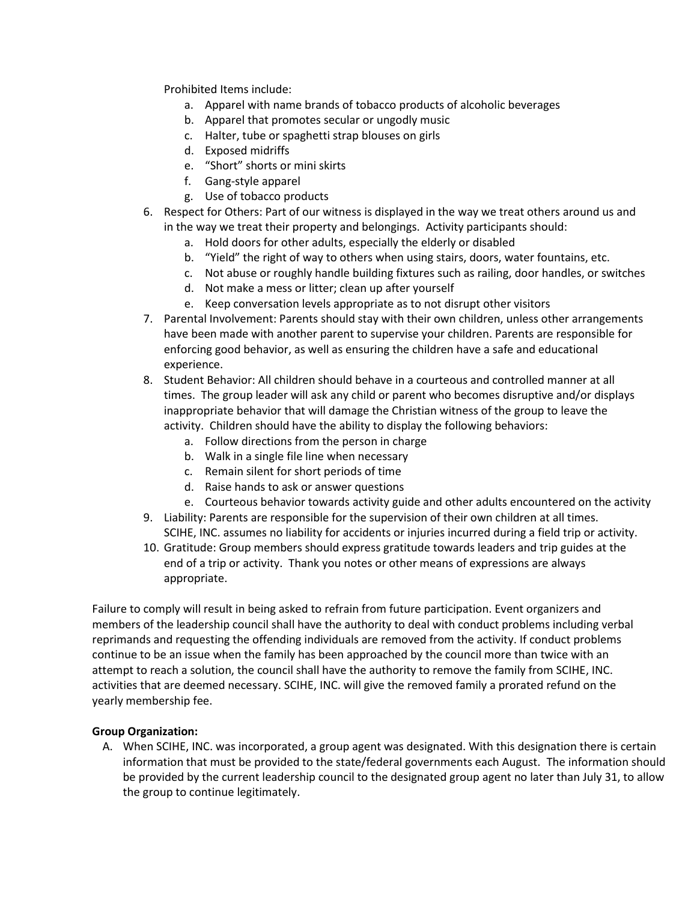Prohibited Items include:

- a. Apparel with name brands of tobacco products of alcoholic beverages
- b. Apparel that promotes secular or ungodly music
- c. Halter, tube or spaghetti strap blouses on girls
- d. Exposed midriffs
- e. "Short" shorts or mini skirts
- f. Gang-style apparel
- g. Use of tobacco products
- 6. Respect for Others: Part of our witness is displayed in the way we treat others around us and in the way we treat their property and belongings. Activity participants should:
	- a. Hold doors for other adults, especially the elderly or disabled
	- b. "Yield" the right of way to others when using stairs, doors, water fountains, etc.
	- c. Not abuse or roughly handle building fixtures such as railing, door handles, or switches
	- d. Not make a mess or litter; clean up after yourself
	- e. Keep conversation levels appropriate as to not disrupt other visitors
- 7. Parental Involvement: Parents should stay with their own children, unless other arrangements have been made with another parent to supervise your children. Parents are responsible for enforcing good behavior, as well as ensuring the children have a safe and educational experience.
- 8. Student Behavior: All children should behave in a courteous and controlled manner at all times. The group leader will ask any child or parent who becomes disruptive and/or displays inappropriate behavior that will damage the Christian witness of the group to leave the activity. Children should have the ability to display the following behaviors:
	- a. Follow directions from the person in charge
	- b. Walk in a single file line when necessary
	- c. Remain silent for short periods of time
	- d. Raise hands to ask or answer questions
	- e. Courteous behavior towards activity guide and other adults encountered on the activity
- 9. Liability: Parents are responsible for the supervision of their own children at all times. SCIHE, INC. assumes no liability for accidents or injuries incurred during a field trip or activity.
- 10. Gratitude: Group members should express gratitude towards leaders and trip guides at the end of a trip or activity. Thank you notes or other means of expressions are always appropriate.

Failure to comply will result in being asked to refrain from future participation. Event organizers and members of the leadership council shall have the authority to deal with conduct problems including verbal reprimands and requesting the offending individuals are removed from the activity. If conduct problems continue to be an issue when the family has been approached by the council more than twice with an attempt to reach a solution, the council shall have the authority to remove the family from SCIHE, INC. activities that are deemed necessary. SCIHE, INC. will give the removed family a prorated refund on the yearly membership fee.

#### **Group Organization:**

A. When SCIHE, INC. was incorporated, a group agent was designated. With this designation there is certain information that must be provided to the state/federal governments each August. The information should be provided by the current leadership council to the designated group agent no later than July 31, to allow the group to continue legitimately.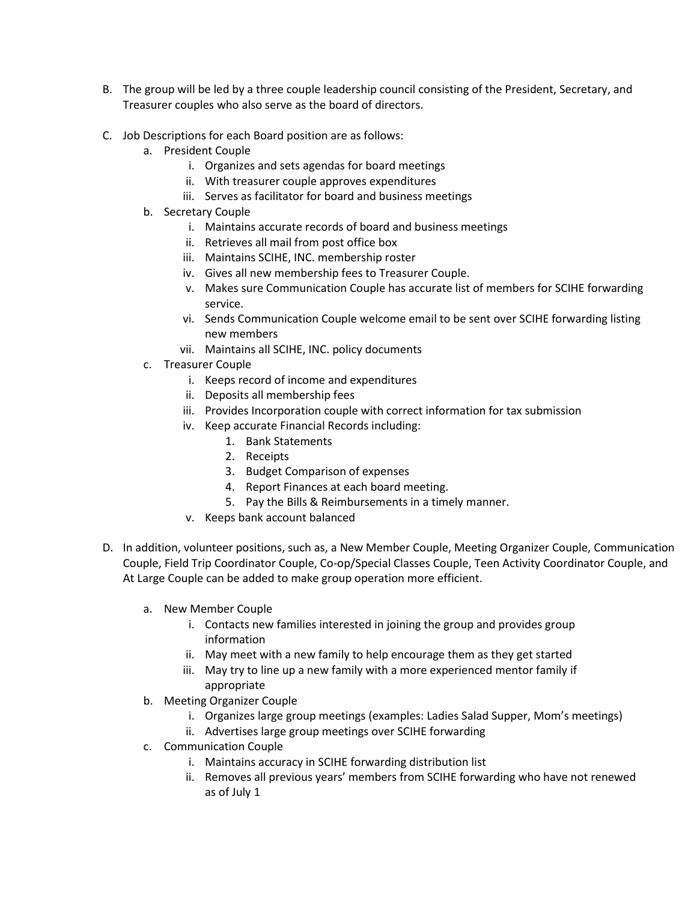- B. The group will be led by a three couple leadership council consisting of the President, Secretary, and Treasurer couples who also serve as the board of directors.
- C. Job Descriptions for each Board position are as follows:
	- a. President Couple
		- i. Organizes and sets agendas for board meetings
		- ii. With treasurer couple approves expenditures
		- iii. Serves as facilitator for board and business meetings
	- b. Secretary Couple
		- i. Maintains accurate records of board and business meetings
		- ii. Retrieves all mail from post office box
		- iii. Maintains SCIHE, INC. membership roster
		- iv. Gives all new membership fees to Treasurer Couple.
		- v. Makes sure Communication Couple has accurate list of members for SCIHE forwarding service.
		- vi. Sends Communication Couple welcome email to be sent over SCIHE forwarding listing new members
		- vii. Maintains all SCIHE, INC. policy documents
	- c. Treasurer Couple
		- i. Keeps record of income and expenditures
		- ii. Deposits all membership fees
		- iii. Provides Incorporation couple with correct information for tax submission
		- iv. Keep accurate Financial Records including:
			- 1. Bank Statements
			- 2. Receipts
			- 3. Budget Comparison of expenses
			- 4. Report Finances at each board meeting.
			- 5. Pay the Bills & Reimbursements in a timely manner.
		- v. Keeps bank account balanced
- D. In addition, volunteer positions, such as, a New Member Couple, Meeting Organizer Couple, Communication Couple, Field Trip Coordinator Couple, Co-op/Special Classes Couple, Teen Activity Coordinator Couple, and At Large Couple can be added to make group operation more efficient.
	- a. New Member Couple
		- i. Contacts new families interested in joining the group and provides group information
		- ii. May meet with a new family to help encourage them as they get started
		- iii. May try to line up a new family with a more experienced mentor family if appropriate
	- b. Meeting Organizer Couple
		- i. Organizes large group meetings (examples: Ladies Salad Supper, Mom's meetings)
		- ii. Advertises large group meetings over SCIHE forwarding
	- c. Communication Couple
		- i. Maintains accuracy in SCIHE forwarding distribution list
		- ii. Removes all previous years' members from SCIHE forwarding who have not renewed as of July 1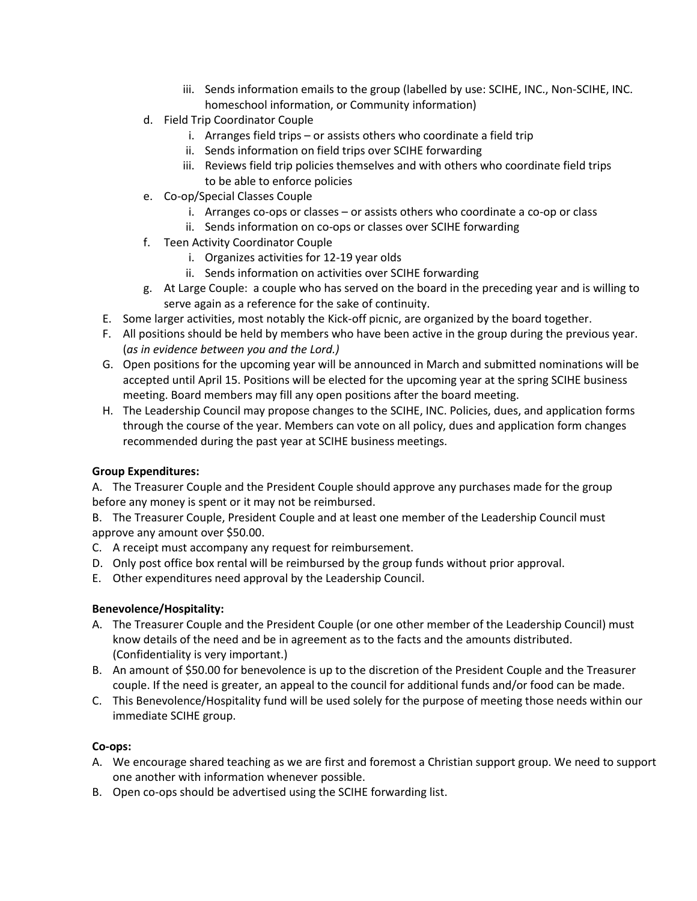- iii. Sends information emails to the group (labelled by use: SCIHE, INC., Non-SCIHE, INC. homeschool information, or Community information)
- d. Field Trip Coordinator Couple
	- i. Arranges field trips or assists others who coordinate a field trip
	- ii. Sends information on field trips over SCIHE forwarding
	- iii. Reviews field trip policies themselves and with others who coordinate field trips to be able to enforce policies
- e. Co-op/Special Classes Couple
	- i. Arranges co-ops or classes or assists others who coordinate a co-op or class
	- ii. Sends information on co-ops or classes over SCIHE forwarding
- f. Teen Activity Coordinator Couple
	- i. Organizes activities for 12-19 year olds
	- ii. Sends information on activities over SCIHE forwarding
- g. At Large Couple: a couple who has served on the board in the preceding year and is willing to serve again as a reference for the sake of continuity.
- E. Some larger activities, most notably the Kick-off picnic, are organized by the board together.
- F. All positions should be held by members who have been active in the group during the previous year. (*as in evidence between you and the Lord.)*
- G. Open positions for the upcoming year will be announced in March and submitted nominations will be accepted until April 15. Positions will be elected for the upcoming year at the spring SCIHE business meeting. Board members may fill any open positions after the board meeting.
- H. The Leadership Council may propose changes to the SCIHE, INC. Policies, dues, and application forms through the course of the year. Members can vote on all policy, dues and application form changes recommended during the past year at SCIHE business meetings.

# **Group Expenditures:**

A. The Treasurer Couple and the President Couple should approve any purchases made for the group before any money is spent or it may not be reimbursed.

B. The Treasurer Couple, President Couple and at least one member of the Leadership Council must approve any amount over \$50.00.

- C. A receipt must accompany any request for reimbursement.
- D. Only post office box rental will be reimbursed by the group funds without prior approval.
- E. Other expenditures need approval by the Leadership Council.

# **Benevolence/Hospitality:**

- A. The Treasurer Couple and the President Couple (or one other member of the Leadership Council) must know details of the need and be in agreement as to the facts and the amounts distributed. (Confidentiality is very important.)
- B. An amount of \$50.00 for benevolence is up to the discretion of the President Couple and the Treasurer couple. If the need is greater, an appeal to the council for additional funds and/or food can be made.
- C. This Benevolence/Hospitality fund will be used solely for the purpose of meeting those needs within our immediate SCIHE group.

#### **Co-ops:**

- A. We encourage shared teaching as we are first and foremost a Christian support group. We need to support one another with information whenever possible.
- B. Open co-ops should be advertised using the SCIHE forwarding list.